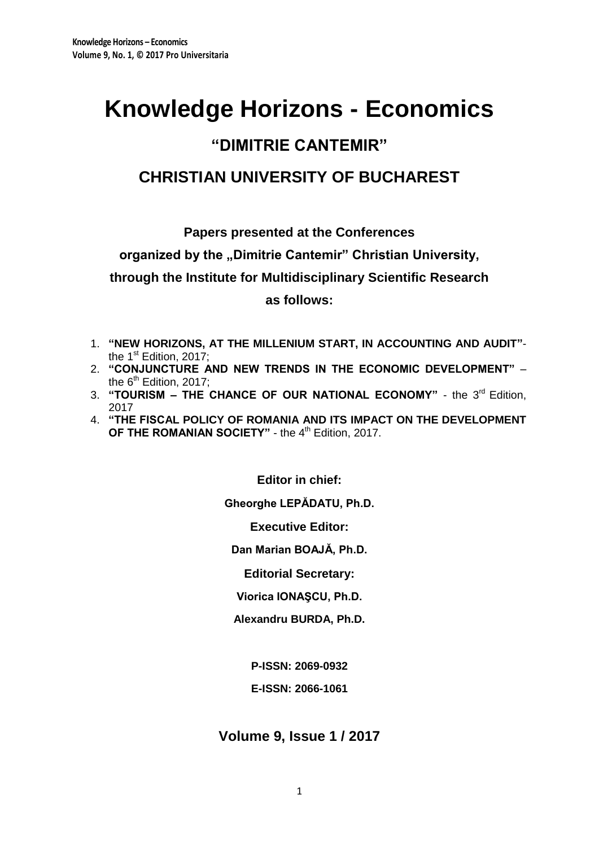# **Knowledge Horizons - Economics**

## **"DIMITRIE CANTEMIR"**

## **CHRISTIAN UNIVERSITY OF BUCHAREST**

**Papers presented at the Conferences** 

organized by the "Dimitrie Cantemir" Christian University,

**through the Institute for Multidisciplinary Scientific Research**

**as follows:**

- 1. **"NEW HORIZONS, AT THE MILLENIUM START, IN ACCOUNTING AND AUDIT"** the 1<sup>st</sup> Edition, 2017;
- 2. **"CONJUNCTURE AND NEW TRENDS IN THE ECONOMIC DEVELOPMENT"**  the  $6<sup>th</sup>$  Edition, 2017;
- 3. "TOURISM THE CHANCE OF OUR NATIONAL ECONOMY" the 3<sup>rd</sup> Edition, 2017
- 4. **"THE FISCAL POLICY OF ROMANIA AND ITS IMPACT ON THE DEVELOPMENT**  OF THE ROMANIAN SOCIETY" - the 4<sup>th</sup> Edition, 2017.

**Editor in chief:**

**Gheorghe LEPĂDATU, Ph.D.**

**Executive Editor:**

**Dan Marian BOAJĂ, Ph.D.**

**Editorial Secretary:**

**Viorica IONAŞCU, Ph.D.**

**Alexandru BURDA, Ph.D.**

**P-ISSN: 2069-0932**

**E-ISSN: 2066-1061**

**Volume 9, Issue 1 / 2017**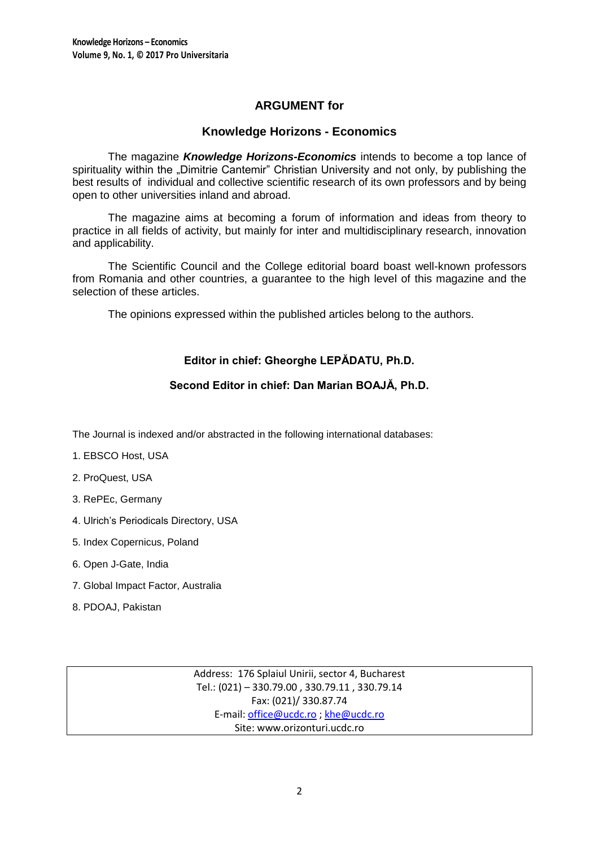## **ARGUMENT for**

## **Knowledge Horizons - Economics**

The magazine *Knowledge Horizons-Economics* intends to become a top lance of spirituality within the "Dimitrie Cantemir" Christian University and not only, by publishing the best results of individual and collective scientific research of its own professors and by being open to other universities inland and abroad.

The magazine aims at becoming a forum of information and ideas from theory to practice in all fields of activity, but mainly for inter and multidisciplinary research, innovation and applicability.

The Scientific Council and the College editorial board boast well-known professors from Romania and other countries, a guarantee to the high level of this magazine and the selection of these articles.

The opinions expressed within the published articles belong to the authors.

## **Editor in chief: Gheorghe LEPĂDATU, Ph.D.**

## **Second Editor in chief: Dan Marian BOAJĂ, Ph.D.**

The Journal is indexed and/or abstracted in the following international databases:

- 1. EBSCO Host, USA
- 2. ProQuest, USA
- 3. RePEc, Germany
- 4. Ulrich's Periodicals Directory, USA
- 5. Index Copernicus, Poland
- 6. Open J-Gate, India
- 7. Global Impact Factor, Australia
- 8. PDOAJ, Pakistan

Address: 176 Splaiul Unirii, sector 4, Bucharest Tel.: (021) – 330.79.00 , 330.79.11 , 330.79.14 Fax: (021)/ 330.87.74 E-mail[: office@ucdc.ro](mailto:office@ucdc.ro) [; khe@ucdc.ro](mailto:khe@ucdc.ro) Site: www.orizonturi.ucdc.ro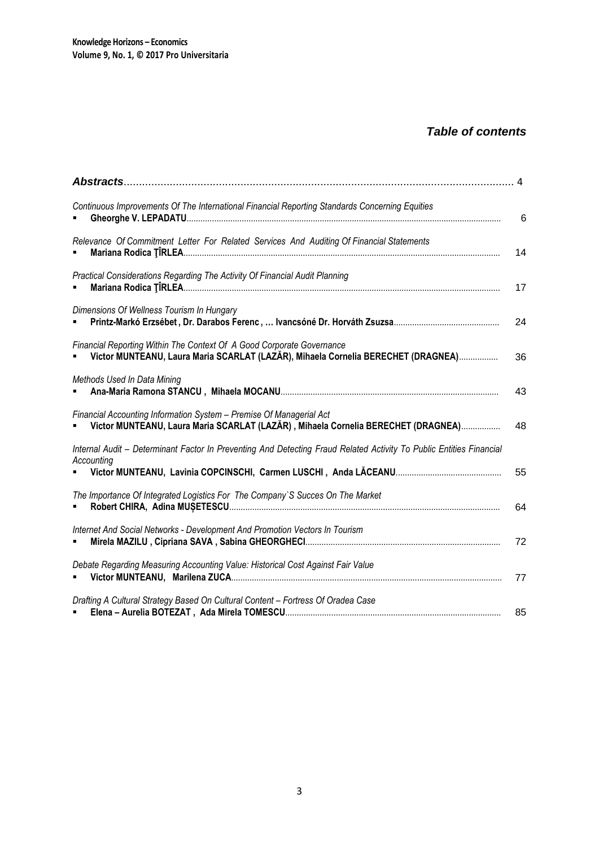## *Table of contents*

| Continuous Improvements Of The International Financial Reporting Standards Concerning Equities                                                             | 6  |
|------------------------------------------------------------------------------------------------------------------------------------------------------------|----|
| Relevance Of Commitment Letter For Related Services And Auditing Of Financial Statements                                                                   | 14 |
| Practical Considerations Regarding The Activity Of Financial Audit Planning                                                                                | 17 |
| Dimensions Of Wellness Tourism In Hungary                                                                                                                  | 24 |
| Financial Reporting Within The Context Of A Good Corporate Governance<br>Victor MUNTEANU, Laura Maria SCARLAT (LAZĂR), Mihaela Cornelia BERECHET (DRAGNEA) | 36 |
| Methods Used In Data Mining                                                                                                                                | 43 |
| Financial Accounting Information System - Premise Of Managerial Act<br>Victor MUNTEANU, Laura Maria SCARLAT (LAZĂR), Mihaela Cornelia BERECHET (DRAGNEA)   | 48 |
| Internal Audit - Determinant Factor In Preventing And Detecting Fraud Related Activity To Public Entities Financial<br>Accounting                          | 55 |
| The Importance Of Integrated Logistics For The Company'S Succes On The Market                                                                              | 64 |
| Internet And Social Networks - Development And Promotion Vectors In Tourism                                                                                | 72 |
| Debate Regarding Measuring Accounting Value: Historical Cost Against Fair Value                                                                            | 77 |
| Drafting A Cultural Strategy Based On Cultural Content - Fortress Of Oradea Case                                                                           | 85 |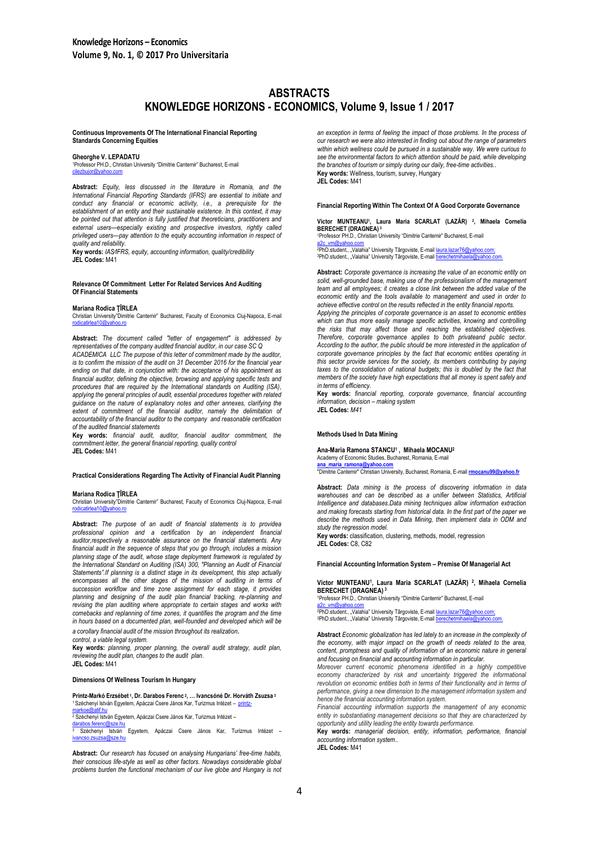### **ABSTRACTS KNOWLEDGE HORIZONS - ECONOMICS, Volume 9, Issue 1 / 2017**

**Continuous Improvements Of The International Financial Reporting Standards Concerning Equities**

#### **Gheorghe V. LEPADATU**

<sup>1</sup>Professor PH.D., Christian University "Dimitrie Cantemir" Bucharest, E-mail [cilezbujor@yahoo.com](mailto:cilezbujor@yahoo.com)

**Abstract:** *Equity, less discussed in the literature in Romania, and the International Financial Reporting Standards (IFRS) are essential to initiate and conduct any financial or economic activity, i.e., a prerequisite for the establishment of an entity and their sustainable existence. In this context, it may be pointed out that attention is fully justified that theoreticians, practitioners and external users—especially existing and prospective investors, rightly called privileged users—pay attention to the equity accounting information in respect of quality and reliability.*

**Key words:** *IAS∕IFRS, equity, accounting information, quality/credibility* **JEL Codes:** M41

#### **Relevance Of Commitment Letter For Related Services And Auditing Of Financial Statements**

#### **Mariana Rodica ŢÎRLEA**

Christian University"Dimitrie Cantemir" Bucharest, Faculty of Economics Cluj-Napoca, E-mail [rodicatirlea10@yahoo.ro](mailto:rodicatirlea10@yahoo.ro)

**Abstract:** *The document called "letter of engagement" is addressed by representatives of the company audited financial auditor, in our case SC Q ACADEMICA LLC The purpose of this letter of commitment made by the auditor, is to confirm the mission of the audit on 31 December 2016 for the financial year ending on that date, in conjunction with: the acceptance of his appointment as financial auditor, defining the objective, browsing and applying specific tests and procedures that are required by the International standards on Auditing (ISA), applying the general principles of audit, essential procedures together with related guidance on the nature of explanatory notes and other annexes, clarifying the*  extent of commitment of the financial auditor, namely the delimitation of *accountability of the financial auditor to the company and reasonable certification of the audited financial statements*

**Key words:** *financial audit, auditor, financial auditor commitment, the commitment letter, the general financial reporting, quality control*

**JEL Codes:** M41

#### **Practical Considerations Regarding The Activity of Financial Audit Planning**

#### **Mariana Rodica ŢÎRLEA**

Christian University"Dimitrie Cantemir" Bucharest, Faculty of Economics Cluj-Napoca, E-mail<br>[rodicatirlea10@yahoo.ro](mailto:rodicatirlea10@yahoo.ro)

**Abstract:** *The purpose of an audit of financial statements is to providea professional opinion and a certification by an independent financial auditor,respectively a reasonable assurance on the financial statements. Any financial audit in the sequence of steps that you go through, includes a mission planning stage of the audit, whose stage deployment framework is regulated by the International Standard on Auditing (ISA) 300, "Planning an Audit of Financial Statements‖.If planning is a distinct stage in its development, this step actually*  encompasses all the other stages of the mission of auditing in terms of *succession workflow and time zone assignment for each stage, it provides planning and designing of the audit plan financial tracking, re-planning and revising the plan auditing where appropriate to certain stages and works with comebacks and replanning of time zones, it quantifies the program and the time*  in hours based on a documented plan, well-founded and developed which will be *a corollary financial audit of the mission throughout its realization.*

*control, a viable legal system.*

**Key words:** *planning, proper planning, the overall audit strategy, audit plan, reviewing the audit plan, changes to the audit plan.* **JEL Codes:** M41

#### **Dimensions Of Wellness Tourism In Hungary**

#### **Printz-Markó Erzsébet 1, Dr. Darabos Ferenc <sup>2</sup>, … Ivancsóné Dr. Horváth Zsuzsa <sup>3</sup><br>1 Széchenyi István Egyetem, Apáczai Csere János Kar, Turizmus Intézet – <u>printz-</u>** [markoe@atif.hu](mailto:printz-markoe@atif.hu)

<sup>2</sup> Széchenyi István Egyetem, Apáczai Csere János Kar, Turizmus Intéz

<u>[darabos.ferenc@sze.hu](mailto:darabos.ferenc@sze.hu)</u><br><sup>3</sup> Széchenyi István Egyetem, Apáczai Csere János Kar, Turizmus Intézet – ieza hi

**Abstract:** *Our research has focused on analysing Hungarians' free-time habits, their conscious life-style as well as other factors. Nowadays considerable global problems burden the functional mechanism of our live globe and Hungary is not*  *an exception in terms of feeling the impact of those problems. In the process of our research we were also interested in finding out about the range of parameters within which wellness could be pursued in a sustainable way. We were curious to see the environmental factors to which attention should be paid, while developing the branches of tourism or simply during our daily, free-time activities..* **Key words:** Wellness, tourism, survey, Hungary **JEL Codes:** M41

#### **Financial Reporting Within The Context Of A Good Corporate Governance**

**Victor MUNTEANU<sup>1</sup> , Laura Maria SCARLAT (LAZĂR) <sup>2</sup> , Mihaela Cornelia BERECHET (DRAGNEA) <sup>3</sup>** 1<br>Professor PH.D., Christian University "Dimitrie Cantemir" Bucharest, E-mail

<u>[a2c\\_vm@yahoo.com](mailto:a2c_vm@yahoo.com)</u><br><sup>2P</sup>hD.student., "Valahia" University Târgoviste, E-mail <u>laura.lazar76@yahoo.com;</u><br>3PhD.student., "Valahia" University Târgoviste, E-mail <u>berechetmihaela@yahoo.com</u>.

**Abstract:** *Corporate governance is increasing the value of an economic entity on solid, well-grounded base, making use of the professionalism of the management team and all employees; it creates a close link between the added value of the economic entity and the tools available to management and used in order to achieve effective control on the results reflected in the entity financial reports.*

*Applying the principles of corporate governance is an asset to economic entities*  which can thus more easily manage specific activities, knowing and controlling *the risks that may affect those and reaching the established objectives. Therefore, corporate governance applies to both privateand public sector. According to the author, the public should be more interested in the application of corporate governance principles by the fact that economic entities operating in this sector provide services for the society, its members contributing by paying*  taxes to the consolidation of national budgets; this is doubled by the fact that *members of the society have high expectations that all money is spent safely and in terms of efficiency.*

**Key words:** *financial reporting, corporate governance, financial accounting information, decision – making system* **JEL Codes:** *M41*

#### **Methods Used In Data Mining**

#### **Ana-Maria Ramona STANCU<sup>1</sup> , Mihaela MOCANU<sup>2</sup>**

## Academy of Economic Studies, Bucharest, Romania, E-mail<br>ana maria ramona@vahoo.com

**[ana\\_maria\\_ramona@yahoo.com](mailto:ana_maria_ramona@yahoo.com)** "Dimitrie Cantemir" Christian University, Bucharest, Romania, E-mail **[rmocanu99@yahoo.fr](mailto:rmocanu99@yahoo.fr)**

**Abstract:** *Data mining is the process of discovering information in data*  warehouses and can be described as a unifier between Statistics. Artificial *Intelligence and databases.Data mining techniques allow information extraction and making forecasts starting from historical data. In the first part of the paper we describe the methods used in Data Mining, then implement data in ODM and study the regression model.*

**Key words:** classification, clustering, methods, model, regression **JEL Codes:** C8, C82

#### **Financial Accounting Information System – Premise Of Managerial Act**

#### **Victor MUNTEANU<sup>1</sup> , Laura Maria SCARLAT (LAZĂR) <sup>2</sup> , Mihaela Cornelia BERECHET (DRAGNEA) <sup>3</sup>**

<sup>1</sup>Professor PH.D., Christian University "Dimitrie Cantemir" Bucharest, E-mail

<u>[a2c\\_vm@yahoo.com](mailto:a2c_vm@yahoo.com)</u><br><sup>2</sup>PhD.student., "Valahia" University Târgoviste, E-mail <u>laura.lazar76@yahoo.com;</u><br>3PhD.student., "Valahia" University Târgoviste, E-mail <u>berechetmihaela@yahoo.com</u>.

**Abstract** *Economic globalization has led lately to an increase in the complexity of the economy, with major impact on the growth of needs related to the area, content, promptness and quality of information of an economic nature in general and focusing on financial and accounting information in particular.*

*Moreover current economic phenomena identified in a highly competitive*  economy characterized by risk and uncertainty triggered the informational *revolution on economic entities both in terms of their functionality and in terms of performance, giving a new dimension to the management information system and hence the financial accounting information system.*

*Financial accounting information supports the management of any economic entity in substantiating management decisions so that they are characterized by opportunity and utility leading the entity towards performance.*

**Key words:** *managerial decision, entity, information, performance, financial accounting information system..*

**JEL Codes:** M41